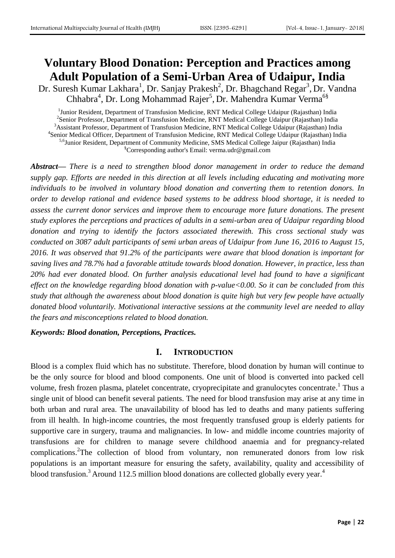# **Voluntary Blood Donation: Perception and Practices among Adult Population of a Semi-Urban Area of Udaipur, India**

Dr. Suresh Kumar Lakhara<sup>1</sup>, Dr. Sanjay Prakesh<sup>2</sup>, Dr. Bhagchand Regar<sup>3</sup>, Dr. Vandna Chhabra<sup>4</sup>, Dr. Long Mohammad Rajer<sup>5</sup>, Dr. Mahendra Kumar Verma<sup>6§</sup>

<sup>1</sup>Junior Resident, Department of Transfusion Medicine, RNT Medical College Udaipur (Rajasthan) India <sup>2</sup> Senior Professor, Department of Transfusion Medicine, RNT Medical College Udaipur (Rajasthan) India <sup>3</sup>Assistant Professor, Department of Transfusion Medicine, RNT Medical College Udaipur (Rajasthan) India <sup>4</sup>Senior Medical Officer, Department of Transfusion Medicine, RNT Medical College Udaipur (Rajasthan) India <sup>5,6</sup>Junior Resident, Department of Community Medicine, SMS Medical College Jaipur (Rajasthan) India §Corresponding author's Email: verma.udr@gmail.com

*Abstract— There is a need to strengthen blood donor management in order to reduce the demand supply gap. Efforts are needed in this direction at all levels including educating and motivating more individuals to be involved in voluntary blood donation and converting them to retention donors. In order to develop rational and evidence based systems to be address blood shortage, it is needed to assess the current donor services and improve them to encourage more future donations. The present study explores the perceptions and practices of adults in a semi-urban area of Udaipur regarding blood donation and trying to identify the factors associated therewith. This cross sectional study was conducted on 3087 adult participants of semi urban areas of Udaipur from June 16, 2016 to August 15, 2016. It was observed that 91.2% of the participants were aware that blood donation is important for saving lives and 78.7% had a favorable attitude towards blood donation. However, in practice, less than 20% had ever donated blood. On further analysis educational level had found to have a significant effect on the knowledge regarding blood donation with p-value<0.00. So it can be concluded from this study that although the awareness about blood donation is quite high but very few people have actually donated blood voluntarily. Motivational interactive sessions at the community level are needed to allay the fears and misconceptions related to blood donation.*

#### *Keywords: Blood donation, Perceptions, Practices.*

## **I. INTRODUCTION**

Blood is a complex fluid which has no substitute. Therefore, blood donation by human will continue to be the only source for blood and blood components. One unit of blood is converted into packed cell volume, fresh frozen plasma, platelet concentrate, cryoprecipitate and granulocytes concentrate.<sup>1</sup> Thus a single unit of blood can benefit several patients. The need for blood transfusion may arise at any time in both urban and rural area. The unavailability of blood has led to deaths and many patients suffering from ill health. In high-income countries, the most frequently transfused group is elderly patients for supportive care in surgery, trauma and malignancies. In low- and middle income countries majority of transfusions are for children to manage severe childhood anaemia and for pregnancy-related complications. 2 The collection of blood from voluntary, non remunerated donors from low risk populations is an important measure for ensuring the safety, availability, quality and accessibility of blood transfusion.<sup>3</sup> Around 112.5 million blood donations are collected globally every year.<sup>4</sup>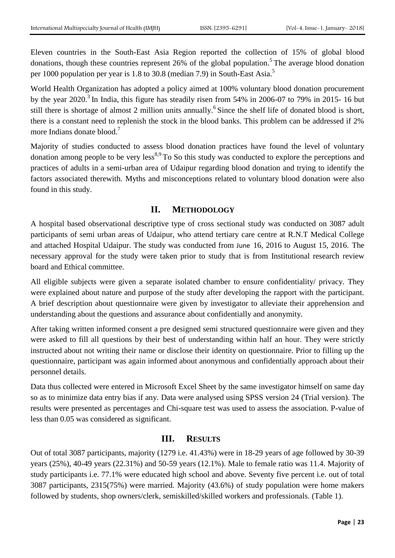Eleven countries in the South-East Asia Region reported the collection of 15% of global blood donations, though these countries represent 26% of the global population. 5 The average blood donation per 1000 population per year is 1.8 to 30.8 (median 7.9) in South-East Asia.<sup>5</sup>

World Health Organization has adopted a policy aimed at 100% voluntary blood donation procurement by the year 2020.<sup>3</sup> In India, this figure has steadily risen from 54% in 2006-07 to 79% in 2015-16 but still there is shortage of almost 2 million units annually.<sup>6</sup> Since the shelf life of donated blood is short, there is a constant need to replenish the stock in the blood banks. This problem can be addressed if 2% more Indians donate blood.<sup>7</sup>

Majority of studies conducted to assess blood donation practices have found the level of voluntary donation among people to be very less<sup>8,9</sup> To So this study was conducted to explore the perceptions and practices of adults in a semi-urban area of Udaipur regarding blood donation and trying to identify the factors associated therewith. Myths and misconceptions related to voluntary blood donation were also found in this study.

# **II. METHODOLOGY**

A hospital based observational descriptive type of cross sectional study was conducted on 3087 adult participants of semi urban areas of Udaipur, who attend tertiary care centre at R.N.T Medical College and attached Hospital Udaipur. The study was conducted from June 16, 2016 to August 15, 2016. The necessary approval for the study were taken prior to study that is from Institutional research review board and Ethical committee.

All eligible subjects were given a separate isolated chamber to ensure confidentiality/ privacy. They were explained about nature and purpose of the study after developing the rapport with the participant. A brief description about questionnaire were given by investigator to alleviate their apprehension and understanding about the questions and assurance about confidentially and anonymity.

After taking written informed consent a pre designed semi structured questionnaire were given and they were asked to fill all questions by their best of understanding within half an hour. They were strictly instructed about not writing their name or disclose their identity on questionnaire. Prior to filling up the questionnaire, participant was again informed about anonymous and confidentially approach about their personnel details.

Data thus collected were entered in Microsoft Excel Sheet by the same investigator himself on same day so as to minimize data entry bias if any. Data were analysed using SPSS version 24 (Trial version). The results were presented as percentages and Chi-square test was used to assess the association. P-value of less than 0.05 was considered as significant.

## **III. RESULTS**

Out of total 3087 participants, majority (1279 i.e. 41.43%) were in 18-29 years of age followed by 30-39 years (25%), 40-49 years (22.31%) and 50-59 years (12.1%). Male to female ratio was 11.4. Majority of study participants i.e. 77.1% were educated high school and above. Seventy five percent i.e. out of total 3087 participants, 2315(75%) were married. Majority (43.6%) of study population were home makers followed by students, shop owners/clerk, semiskilled/skilled workers and professionals. (Table 1).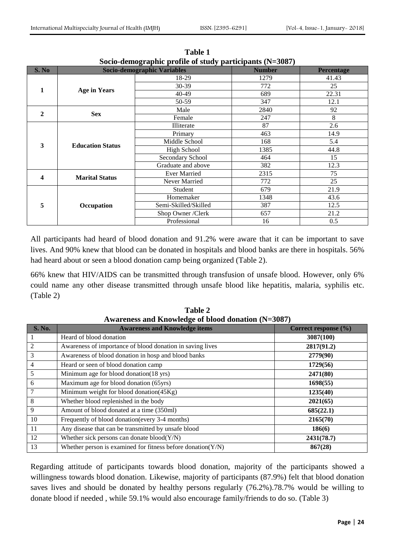| S. No |                         | $\sim$ 0.000 $\sim$ 0.000 $\sim$ 0.0000 $\sim$ 0.0000 $\sim$ 0.000 $\sim$ 0.000 $\sim$ 0.000 $\sim$<br>Socio-demographic Variables | <b>Number</b> | <b>Percentage</b> |
|-------|-------------------------|------------------------------------------------------------------------------------------------------------------------------------|---------------|-------------------|
|       |                         | 18-29                                                                                                                              | 1279          | 41.43             |
| 1     | <b>Age in Years</b>     | 30-39                                                                                                                              | 772           | 25                |
|       |                         | 40-49                                                                                                                              | 689           | 22.31             |
|       |                         | 50-59                                                                                                                              | 347           | 12.1              |
| 2     | <b>Sex</b>              | Male                                                                                                                               | 2840          | 92                |
|       |                         | Female                                                                                                                             | 247           | 8                 |
| 3     | <b>Education Status</b> | Illiterate                                                                                                                         | 87            | 2.6               |
|       |                         | Primary                                                                                                                            | 463           | 14.9              |
|       |                         | Middle School                                                                                                                      | 168           | 5.4               |
|       |                         | <b>High School</b>                                                                                                                 | 1385          | 44.8              |
|       |                         | Secondary School                                                                                                                   | 464           | 15                |
|       |                         | Graduate and above                                                                                                                 | 382           | 12.3              |
| 4     | <b>Marital Status</b>   | <b>Ever Married</b>                                                                                                                | 2315          | 75                |
|       |                         | Never Married                                                                                                                      | 772           | 25                |
| 5     | Occupation              | Student                                                                                                                            | 679           | 21.9              |
|       |                         | Homemaker                                                                                                                          | 1348          | 43.6              |
|       |                         | Semi-Skilled/Skilled                                                                                                               | 387           | 12.5              |
|       |                         | Shop Owner /Clerk                                                                                                                  | 657           | 21.2              |
|       |                         | Professional                                                                                                                       | 16            | 0.5               |

**Table 1 Socio-demographic profile of study participants (N=3087)**

All participants had heard of blood donation and 91.2% were aware that it can be important to save lives. And 90% knew that blood can be donated in hospitals and blood banks are there in hospitals. 56% had heard about or seen a blood donation camp being organized (Table 2).

66% knew that HIV/AIDS can be transmitted through transfusion of unsafe blood. However, only 6% could name any other disease transmitted through unsafe blood like hepatitis, malaria, syphilis etc. (Table 2)

| <b>S. No.</b>  | <b>Awareness and Knowledge items</b>                           | Correct response (%) |
|----------------|----------------------------------------------------------------|----------------------|
|                | Heard of blood donation                                        | 3087(100)            |
| 2              | Awareness of importance of blood donation in saving lives      | 2817(91.2)           |
| 3              | Awareness of blood donation in hosp and blood banks            | 2779(90)             |
| $\overline{4}$ | Heard or seen of blood donation camp                           | 1729(56)             |
| 5              | Minimum age for blood donation (18 yrs)                        | 2471(80)             |
| 6              | Maximum age for blood donation (65yrs)                         | 1698(55)             |
|                | Minimum weight for blood donation(45Kg)                        | 1235(40)             |
| 8              | Whether blood replenished in the body                          | 2021(65)             |
| 9              | Amount of blood donated at a time (350ml)                      | 685(22.1)            |
| 10             | Frequently of blood donation (every 3-4 months)                | 2165(70)             |
| 11             | Any disease that can be transmitted by unsafe blood            | 186(6)               |
| 12             | Whether sick persons can donate blood(Y/N)                     | 2431(78.7)           |
| 13             | Whether person is examined for fitness before donation $(Y/N)$ | 867(28)              |

**Table 2 Awareness and Knowledge of blood donation (N=3087)**

Regarding attitude of participants towards blood donation, majority of the participants showed a willingness towards blood donation. Likewise, majority of participants (87.9%) felt that blood donation saves lives and should be donated by healthy persons regularly (76.2%).78.7% would be willing to donate blood if needed , while 59.1% would also encourage family/friends to do so. (Table 3)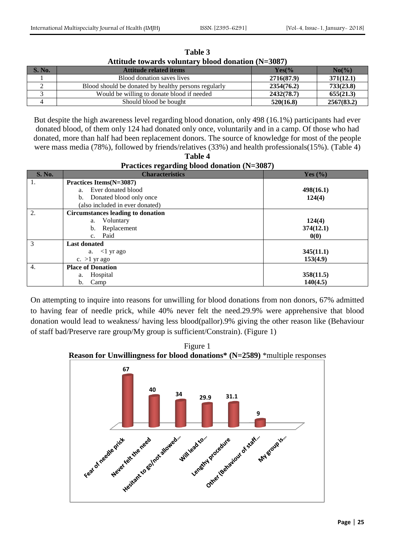| Attitude towards voluntary blood donation (N=3087) |                                                      |            |            |
|----------------------------------------------------|------------------------------------------------------|------------|------------|
| <b>S. No.</b>                                      | <b>Attitude related items</b>                        | $Yes\%$    | $No(\%)$   |
|                                                    | Blood donation saves lives                           | 2716(87.9) | 371(12.1)  |
|                                                    | Blood should be donated by healthy persons regularly | 2354(76.2) | 733(23.8)  |
|                                                    | Would be willing to donate blood if needed           | 2432(78.7) | 655(21.3)  |
|                                                    | Should blood be bought                               | 520(16.8)  | 2567(83.2) |

**Table 3**

But despite the high awareness level regarding blood donation, only 498 (16.1%) participants had ever donated blood, of them only 124 had donated only once, voluntarily and in a camp. Of those who had donated, more than half had been replacement donors. The source of knowledge for most of the people were mass media (78%), followed by friends/relatives (33%) and health professionals(15%). (Table 4)

**Table 4 Practices regarding blood donation (N=3087)**

| S. No. | <b>Characteristics</b>                   | Yes $(\% )$ |
|--------|------------------------------------------|-------------|
| 1.     | Practices Items(N=3087)                  |             |
|        | a. Ever donated blood                    | 498(16.1)   |
|        | b. Donated blood only once               | 124(4)      |
|        | (also included in ever donated)          |             |
| 2.     | <b>Circumstances leading to donation</b> |             |
|        | Voluntary<br>a.                          | 124(4)      |
|        | Replacement<br>b.                        | 374(12.1)   |
|        | c. Paid                                  | 0(0)        |
| 3      | <b>Last donated</b>                      |             |
|        | a. $\langle$ 1 yr ago                    | 345(11.1)   |
|        | c. $>1$ yr ago                           | 153(4.9)    |
| 4.     | <b>Place of Donation</b>                 |             |
|        | a. Hospital                              | 358(11.5)   |
|        | Camp<br>b.                               | 140(4.5)    |

On attempting to inquire into reasons for unwilling for blood donations from non donors, 67% admitted to having fear of needle prick, while 40% never felt the need.29.9% were apprehensive that blood donation would lead to weakness/ having less blood(pallor).9% giving the other reason like (Behaviour of staff bad/Preserve rare group/My group is sufficient/Constrain). (Figure 1)

Figure 1 **Reason for Unwillingness for blood donations\* (N=2589)** \*multiple responses

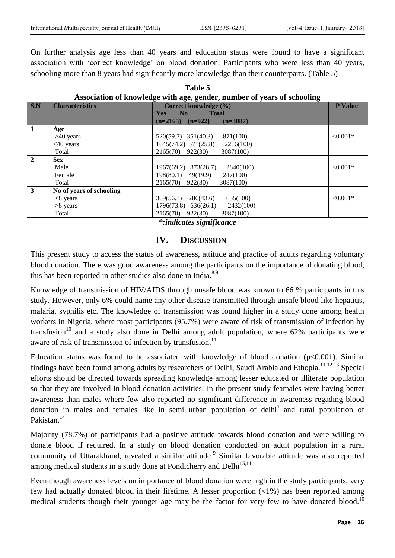On further analysis age less than 40 years and education status were found to have a significant association with "correct knowledge" on blood donation. Participants who were less than 40 years, schooling more than 8 years had significantly more knowledge than their counterparts. (Table 5)

| Association of Knowledge with age, genuer, humber of years of schooling |                          |                                              |                |
|-------------------------------------------------------------------------|--------------------------|----------------------------------------------|----------------|
| S.N                                                                     | <b>Characteristics</b>   | Correct knowledge (%)                        | <b>P</b> Value |
|                                                                         |                          | N <sub>0</sub><br><b>Total</b><br><b>Yes</b> |                |
|                                                                         |                          | $(n=2165)$ $(n=922)$<br>$(n=3087)$           |                |
| $\mathbf{1}$                                                            | Age                      |                                              |                |
|                                                                         | $>40$ years              | $520(59.7)$ $351(40.3)$<br>871(100)          | $< 0.001*$     |
|                                                                         | $<40$ years              | $1645(74.2)$ $571(25.8)$ $2216(100)$         |                |
|                                                                         | Total                    | $2165(70)$ 922(30)<br>3087(100)              |                |
| $\overline{2}$                                                          | <b>Sex</b>               |                                              |                |
|                                                                         | Male                     | 1967(69.2) 873(28.7)<br>2840(100)            | $< 0.001*$     |
|                                                                         | Female                   | 198(80.1) 49(19.9)<br>247(100)               |                |
|                                                                         | Total                    | 2165(70)<br>922(30)<br>3087(100)             |                |
|                                                                         | No of years of schooling |                                              |                |
|                                                                         | $<8$ years               | $369(56.3)$ $286(43.6)$<br>655(100)          | $< 0.001*$     |
|                                                                         | $>8$ years               | 2432(100)<br>1796(73.8) 636(26.1)            |                |
|                                                                         | Total                    | 2165(70) 922(30)<br>3087(100)                |                |

| Table 5                                                                 |
|-------------------------------------------------------------------------|
| Association of knowledge with age, gender, number of years of schooling |

*\*:indicates significance*

# **IV. DISCUSSION**

This present study to access the status of awareness, attitude and practice of adults regarding voluntary blood donation. There was good awareness among the participants on the importance of donating blood, this has been reported in other studies also done in India. $8,9$ 

Knowledge of transmission of HIV/AIDS through unsafe blood was known to 66 % participants in this study. However, only 6% could name any other disease transmitted through unsafe blood like hepatitis, malaria, syphilis etc. The knowledge of transmission was found higher in a study done among health workers in Nigeria, where most participants (95.7%) were aware of risk of transmission of infection by transfusion<sup>10</sup> and a study also done in Delhi among adult population, where  $62\%$  participants were aware of risk of transmission of infection by transfusion.<sup>11.</sup>

Education status was found to be associated with knowledge of blood donation  $(p<0.001)$ . Similar findings have been found among adults by researchers of Delhi, Saudi Arabia and Ethopia.<sup>11,12,13</sup> Special efforts should be directed towards spreading knowledge among lesser educated or illiterate population so that they are involved in blood donation activities. In the present study feamales were having better awareness than males where few also reported no significant difference in awareness regading blood donation in males and females like in semi urban population of delhi<sup>11</sup> and rural population of Pakistan.<sup>14</sup>

Majority (78.7%) of participants had a positive attitude towards blood donation and were willing to donate blood if required. In a study on blood donation conducted on adult population in a rural community of Uttarakhand, revealed a similar attitude. Similar favorable attitude was also reported among medical students in a study done at Pondicherry and Delhi<sup>15,11.</sup>

Even though awareness levels on importance of blood donation were high in the study participants, very few had actually donated blood in their lifetime. A lesser proportion (<1%) has been reported among medical students though their younger age may be the factor for very few to have donated blood.<sup>10</sup>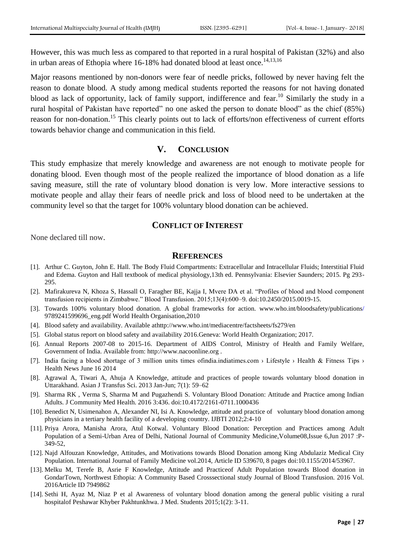However, this was much less as compared to that reported in a rural hospital of Pakistan (32%) and also in urban areas of Ethopia where  $16-18%$  had donated blood at least once.<sup>14,13,16</sup>

Major reasons mentioned by non-donors were fear of needle pricks, followed by never having felt the reason to donate blood. A study among medical students reported the reasons for not having donated blood as lack of opportunity, lack of family support, indifference and fear.<sup>10</sup> Similarly the study in a rural hospital of Pakistan have reported" no one asked the person to donate blood" as the chief (85%) reason for non-donation.<sup>15</sup> This clearly points out to lack of efforts/non effectiveness of current efforts towards behavior change and communication in this field.

#### **V. CONCLUSION**

This study emphasize that merely knowledge and awareness are not enough to motivate people for donating blood. Even though most of the people realized the importance of blood donation as a life saving measure, still the rate of voluntary blood donation is very low. More interactive sessions to motivate people and allay their fears of needle prick and loss of blood need to be undertaken at the community level so that the target for 100% voluntary blood donation can be achieved.

### **CONFLICT OF INTEREST**

None declared till now.

#### **REFERENCES**

- [1]. Arthur C. Guyton, John E. Hall. The Body Fluid Compartments: Extracellular and Intracellular Fluids; Interstitial Fluid and Edema. Guyton and Hall textbook of medical physiology,13th ed. Pennsylvania: Elsevier Saunders; 2015. Pg 293- 295.
- [2]. Mafirakureva N, Khoza S, Hassall O, Faragher BE, Kajja I, Mvere DA et al. "Profiles of blood and blood component transfusion recipients in Zimbabwe." Blood Transfusion. 2015;13(4):600–9. doi:10.2450/2015.0019-15.
- [3]. Towards 100% voluntary blood donation. A global frameworks for action. [www.who.int/bloodsafety/publications/](http://www.who.int/bloodsafety/publications/) 9789241599696\_eng.pdf World Health Organisation,2010
- [4]. Blood safety and availability. Available athttp://www.who.int/mediacentre/factsheets/fs279/en
- [5]. Global status report on blood safety and availability 2016.Geneva: World Health Organization; 2017.
- [6]. Annual Reports 2007-08 to 2015-16. Department of AIDS Control, Ministry of Health and Family Welfare, Government of India. Available from: http://www.nacoonline.org .
- [7]. India facing a blood shortage of 3 million units times ofindia.indiatimes.com > Lifestyle > Health & Fitness Tips > Health News June 16 2014
- [8]. Agrawal A, Tiwari A, Ahuja A Knowledge, attitude and practices of people towards voluntary blood donation in Uttarakhand. Asian J Transfus Sci. 2013 Jan-Jun; 7(1): 59–62
- [9]. Sharma RK , Verma S, Sharma M and Pugazhendi S. Voluntary Blood Donation: Attitude and Practice among Indian Adults. J Community Med Health. 2016 3:436. doi:10.4172/2161-0711.1000436
- [10]. Benedict N, Usimenahon A, Alexander NI, Isi A. Knowledge, attitude and practice of voluntary blood donation among physicians in a tertiary health facility of a developing country. IJBTI 2012;2:4-10
- [11]. Priya Arora, Manisha Arora, Atul Kotwal. Voluntary Blood Donation: Perception and Practices among Adult Population of a Semi-Urban Area of Delhi, National Journal of Community Medicine,Volume08,Issue 6,Jun 2017 :P-349-52,
- [12]. Najd Alfouzan Knowledge, Attitudes, and Motivations towards Blood Donation among King Abdulaziz Medical City Population. International Journal of Family Medicine vol.2014, Article ID 539670, 8 pages doi:10.1155/2014/53967.
- [13]. Melku M, Terefe B, Asrie F Knowledge, Attitude and Practiceof Adult Population towards Blood donation in GondarTown, Northwest Ethopia: A Community Based Crosssectional study Journal of Blood Transfusion. 2016 Vol. 2016Article ID 7949862
- [14]. Sethi H, Ayaz M, Niaz P et al Awareness of voluntary blood donation among the general public visiting a rural hospitalof Peshawar Khyber Pakhtunkhwa. J Med. Students 2015;1(2): 3-11.